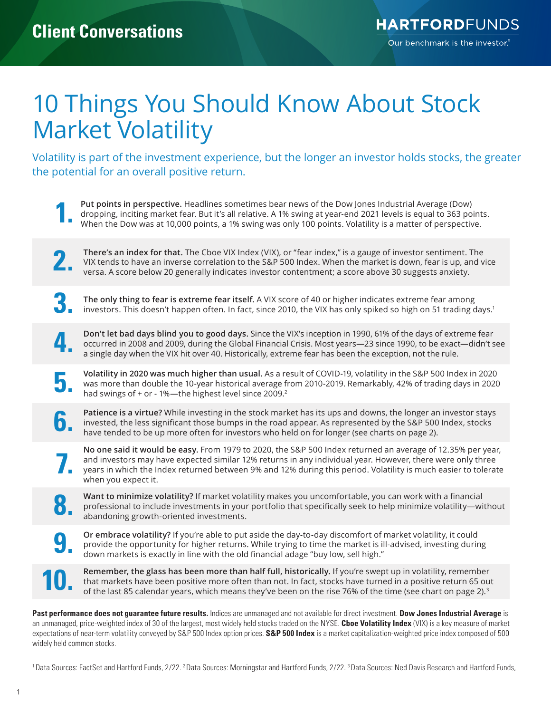## 10 Things You Should Know About Stock Market Volatility

Volatility is part of the investment experience, but the longer an investor holds stocks, the greater the potential for an overall positive return.

**1. Put points in perspective.** Headlines sometimes bear news of the Dow Jones Industrial Average (Dow) dropping, inciting market fear. But it's all relative. A 1% swing at year-end 2021 levels is equal to 363 po<br>When th dropping, inciting market fear. But it's all relative. A 1% swing at year-end 2021 levels is equal to 363 points. When the Dow was at 10,000 points, a 1% swing was only 100 points. Volatility is a matter of perspective.

**2. There's an index for that.** The Cboe VIX Index (VIX), or "fear index," is a gauge of investor sentiment. The VIX tends to have an inverse correlation to the S&P 500 Index. When the market is down, fear is up, and v v VIX tends to have an inverse correlation to the S&P 500 Index. When the market is down, fear is up, and vice versa. A score below 20 generally indicates investor contentment; a score above 30 suggests anxiety.

**3. The only thing to fear is extreme fear itself.** A VIX score of 40 or higher indicates extreme fear among investors. This doesn't happen often. In fact, since 2010, the VIX has only spiked so high on 51 trading days.<sup>1</sup>

**4. Don't let bad days blind you to good days.** Since the VIX's inception in 1990, 61% of the days of extreme fear occurred in 2008 and 2009, during the Global Financial Crisis. Most years—23 since 1990, to be exact—didn't see a single day when the VIX hit over 40. Historically, extreme fear has been the exception, not the rule.

**5. Volatility in 2020 was much higher than usual.** As a result of COVID-19, volatility in the S&P 500 Index in 2020 was more than double the 10-year historical average from 2010-2019. Remarkably, 42% of trading days in was more than double the 10-year historical average from 2010-2019. Remarkably, 42% of trading days in 2020 had swings of + or - 1%—the highest level since 2009.<sup>2</sup>

**Patience is a virtue?** While investing in the stock market has its ups and downs, the longer an investor stays<br>invested, the less significant those bumps in the road appear. As represented by the S&P 500 Index, stocks invested, the less significant those bumps in the road appear. As represented by the S&P 500 Index, stocks have tended to be up more often for investors who held on for longer (see charts on page 2).

**7.** No one said it would be easy. From 1979 to 2020, the S&P 500 Index returned an average of 12.35% per year, and investors may have expected similar 12% returns in any individual year. However, there were only three yea and investors may have expected similar 12% returns in any individual year. However, there were only three years in which the Index returned between 9% and 12% during this period. Volatility is much easier to tolerate when you expect it.

**8. Want to minimize volatility?** If market volatility makes you uncomfortable, you can work with a financial professional to include investments in your portfolio that specifically seek to help minimize volatility—wi ab professional to include investments in your portfolio that specifically seek to help minimize volatility—without abandoning growth-oriented investments.

**9. Or embrace volatility?** If you're able to put aside the day-to-day discomfort of market volatility, it could provide the opportunity for higher returns. While trying to time the market is ill-advised, investing durir provide the opportunity for higher returns. While trying to time the market is ill-advised, investing during down markets is exactly in line with the old financial adage "buy low, sell high."

**10** Remember, the glass has been more than half full, historically. If you're swept up in volatility, remember<br>that markets have been positive more often than not. In fact, stocks have turned in a positive return 65 out<br>o that markets have been positive more often than not. In fact, stocks have turned in a positive return 65 out

**Past performance does not guarantee future results.** Indices are unmanaged and not available for direct investment. **Dow Jones Industrial Average** is an unmanaged, price-weighted index of 30 of the largest, most widely held stocks traded on the NYSE. **Cboe Volatility Index** (VIX) is a key measure of market expectations of near-term volatility conveyed by S&P 500 Index option prices. **S&P 500 Index** is a market capitalization-weighted price index composed of 500 widely held common stocks.

<sup>1</sup>Data Sources: FactSet and Hartford Funds, 2/22. <sup>2</sup>Data Sources: Morningstar and Hartford Funds, 2/22. <sup>3</sup>Data Sources: Ned Davis Research and Hartford Funds,